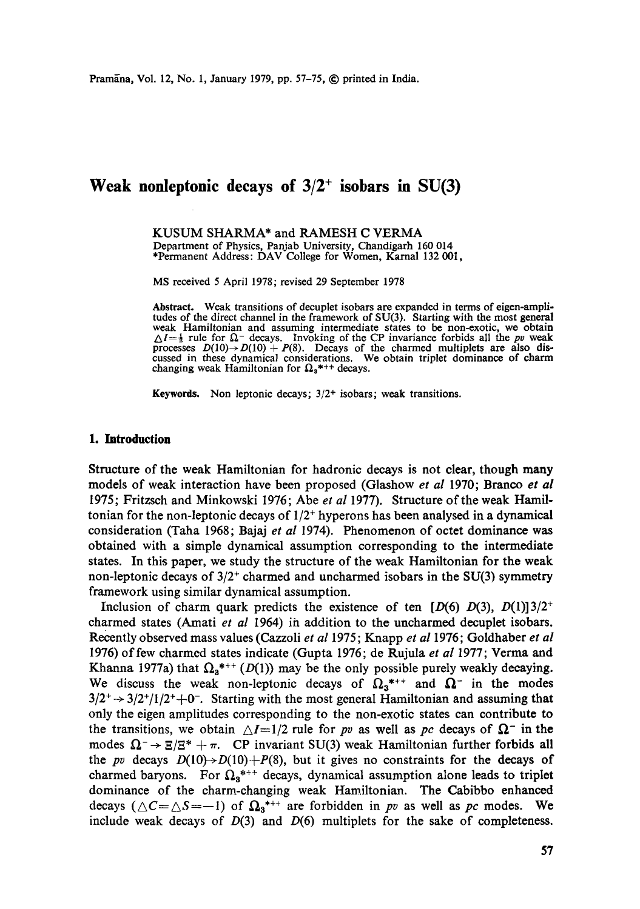KUSUM SHARMA\* and RAMESH C VERMA Department of Physics, Panjab University, Chandigarh 160 014 \*Permanent Address: DAV College for Women, Karnal 132 001,

MS received 5 April 1978; revised 29 September 1978

**Abstract.** Weak transitions of decuplet isobars are expanded in terms of eigen-amplitudes of the direct channel in the framework of SU(3). Starting with the most general weak Hamiltonian and assuming intermediate states to be non-exotic, we obtain  $\Delta I = \frac{1}{2}$  rule for  $\Omega$ <sup>-</sup> decays. Invoking of the CP invariance forbids all the *pv* weak processes  $D(10) \rightarrow D(10) + P(8)$ . Decays of the charmed multiplets are also discussed in these dynamical considerations. We obtain triplet dominance of charm changing weak Hamiltonian for  $\Omega_3$ <sup>\*++</sup> decays.

**Keywords.** Non leptonic decays;  $3/2$ <sup>+</sup> isobars; weak transitions.

#### **1. Introduction**

Structure of the weak Hamiltonian for hadronic decays is not clear, though many models of weak interaction have been proposed (Glashow *et al* 1970; Branco *et al* 1975; Fritzsch and Minkowski 1976; Abe *et al* 1977). Structure of the weak Hamiltonian for the non-leptonic decays of  $1/2^+$  hyperons has been analysed in a dynamical consideration (Taha 1968; Bajaj *et al* 1974). Phenomenon of octet dominance was obtained with a simple dynamical assumption corresponding to the intermediate states. In this paper, we study the structure of the weak Hamiltonian for the weak non-leptonic decays of  $3/2^+$  charmed and uncharmed isobars in the SU(3) symmetry framework using similar dynamical assumption.

Inclusion of charm quark predicts the existence of ten  $[D(6) D(3), D(1)]3/2^+$ charmed states (Amati *et al* 1964) ih addition to the uncharmed decuplet isobars. Recently observed mass values (Cazzoli *et al* 1975; Knapp *et al* 1976; Goldhaber *et al*  1976) of few charmed states indicate (Gupta 1976; de Rujula *et al* 1977; Verma and Khanna 1977a) that  $\Omega_{a}^{*++}$  (D(1)) may be the only possible purely weakly decaying. We discuss the weak non-leptonic decays of  $\Omega_3^{*++}$  and  $\Omega^-$  in the modes  $3/2^+$   $\rightarrow$   $3/2^+/1/2^+$  +0<sup>-</sup>. Starting with the most general Hamiltonian and assuming that only the eigen amplitudes corresponding to the non-exotic states can contribute to the transitions, we obtain  $\Delta I=1/2$  rule for *pv* as well as *pc* decays of  $\Omega^-$  in the modes  $\Omega^- \rightarrow \Xi/\Xi^* + \pi$ . CP invariant SU(3) weak Hamiltonian further forbids all the *pv* decays  $D(10) \rightarrow D(10) + P(8)$ , but it gives no constraints for the decays of charmed baryons. For  $\Omega_3$ <sup>\*++</sup> decays, dynamical assumption alone leads to triplet dominance of the charm-changing weak Hamiltonian. The Cabibbo enhanced decays ( $\triangle C = \triangle S = -1$ ) of  $\Omega_3$ <sup>\*++</sup> are forbidden in *pv* as well as *pc* modes. We include weak decays of  $D(3)$  and  $D(6)$  multiplets for the sake of completeness.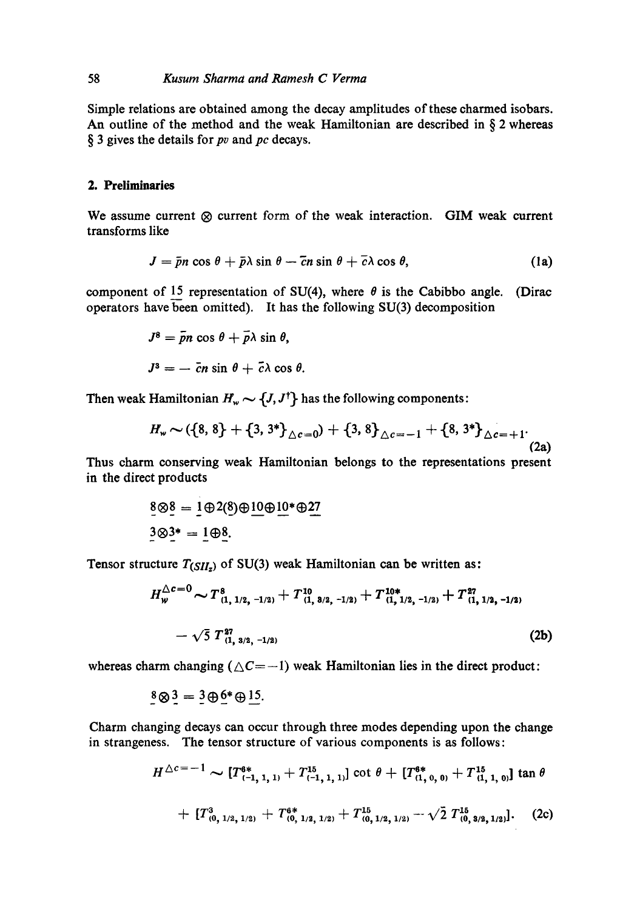## 58 *Kusum Sharma and Ramesh C Verma*

Simple relations are obtained among the decay amplitudes of these charmed isobars. An outline of the method and the weak Hamiltonian are described in  $\S$  2 whereas § 3 gives the details for pv and *pc* decays.

### **2. Preliminaries**

We assume current  $\otimes$  current form of the weak interaction. GIM weak current transforms like

$$
J = \bar{p}n\cos\theta + \bar{p}\lambda\sin\theta - \bar{c}n\sin\theta + \bar{c}\lambda\cos\theta, \qquad (1a)
$$

component of 15 representation of SU(4), where  $\theta$  is the Cabibbo angle. (Dirac operators have been omitted). It has the following SU(3) decomposition

$$
J^8 = \bar{p}n \cos \theta + \bar{p}\lambda \sin \theta,
$$
  

$$
J^3 = -\bar{c}n \sin \theta + \bar{c}\lambda \cos \theta.
$$

Then weak Hamiltonian  $H_w \sim \{J, J^{\dagger}\}$  has the following components:

$$
H_w \sim (\{8, 8\} + \{3, 3^*\}_{\triangle c = 0}) + \{3, 8\}_{\triangle c = -1} + \{8, 3^*\}_{\triangle c = +1}.
$$
 (2a)

Thus charm conserving weak Hamiltonian belongs to the representations present in the direct products

$$
\underline{8} \otimes \underline{8} = \underline{1} \oplus 2(8) \oplus \underline{10} \oplus \underline{10}^* \oplus \underline{27}
$$

$$
\underline{3} \otimes \underline{3}^* = \underline{1} \oplus \underline{8}.
$$

Tensor structure  $T(SII_z)$  of SU(3) weak Hamiltonian can be written as:

$$
H_{w}^{\triangle c=0} \sim T_{(1, 1/2, -1/2)}^{8} + T_{(1, 3/2, -1/2)}^{10} + T_{(1, 1/2, -1/2)}^{10*} + T_{(1, 1/2, -1/2)}^{27} - \sqrt{5} T_{(1, 3/2, -1/2)}^{27}
$$
\n(2b)

whereas charm changing ( $\triangle C=-1$ ) weak Hamiltonian lies in the direct product:

$$
\underline{\mathbf{8}} \otimes \underline{\mathbf{3}} = \underline{\mathbf{3}} \oplus \underline{\mathbf{6}}^* \oplus \underline{\mathbf{15}}.
$$

Charm changing decays can occur through three modes depending upon the change in strangeness. The tensor structure of various components is as follows:

$$
H^{\triangle c=-1} \sim [T_{(-1,1,1)}^{6*}+T_{(-1,1,1)}^{15}] \cot \theta + [T_{(1,0,0)}^{6*}+T_{(1,1,0)}^{15}] \tan \theta
$$
  
+ 
$$
[T_{(0,1/2,1/2)}^{3}+T_{(0,1/2,1/2)}^{6*}+T_{(0,1/2,1/2)}^{15}+T_{(0,1/2,1/2)}^{15}-\sqrt{2} T_{(0,3/2,1/2)}^{15}].
$$
 (2c)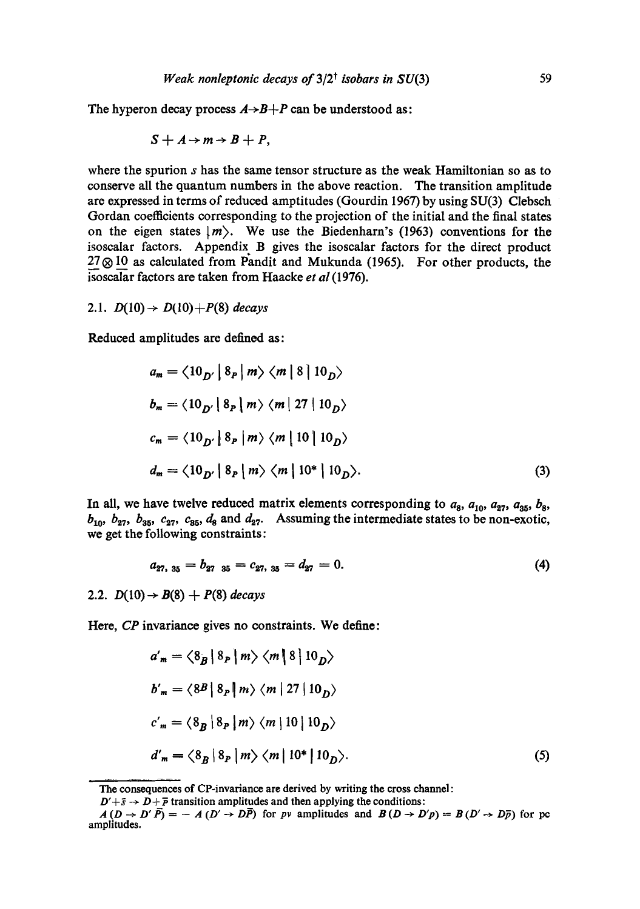The hyperon decay process  $A \rightarrow B + P$  can be understood as:

$$
S + A \rightarrow m \rightarrow B + P,
$$

where the spurion s has the same tensor structure as the weak Hamiltonian so as to conserve all the quantum numbers in the above reaction. The transition amplitude are expressed in terms of reduced amptitudes (Gourdin 1967) by using SU(3) Clebsch Gordan coefficients corresponding to the projection of the initial and the final states on the eigen states  $|m\rangle$ . We use the Biedenharn's (1963) conventions for the isoscalar factors. Appendix B gives the isoscalar factors for the direct product  $27\otimes 10$  as calculated from Pandit and Mukunda (1965). For other products, the isoscalar factors are taken from Haacke *et al* (1976).

2.1.  $D(10) \rightarrow D(10) + P(8)$  *decays* 

Reduced amplitudes are defined as:

$$
a_m = \langle 10_{D'} | 8_P | m \rangle \langle m | 8 | 10_D \rangle
$$
  
\n
$$
b_m = \langle 10_{D'} | 8_P | m \rangle \langle m | 27 | 10_D \rangle
$$
  
\n
$$
c_m = \langle 10_{D'} | 8_P | m \rangle \langle m | 10 | 10_D \rangle
$$
  
\n
$$
d_m = \langle 10_{D'} | 8_P | m \rangle \langle m | 10^* | 10_D \rangle.
$$
  
\n(3)

In all, we have twelve reduced matrix elements corresponding to  $a_8$ ,  $a_{10}$ ,  $a_{27}$ ,  $a_{35}$ ,  $b_8$ ,  $b_{10}$ ,  $b_{27}$ ,  $b_{35}$ ,  $c_{27}$ ,  $c_{35}$ ,  $d_8$  and  $d_{27}$ . Assuming the intermediate states to be non-exotic, we get the following constraints:

$$
a_{27, 35} = b_{27, 35} = c_{27, 35} = d_{27} = 0. \tag{4}
$$

2.2.  $D(10) \rightarrow B(8) + P(8)$  decays

Here, *CP* invariance gives no constraints. We define:

$$
a'_{m} = \langle \delta_B | \delta_P | m \rangle \langle m | \delta | 10_D \rangle
$$
  
\n
$$
b'_{m} = \langle \delta_B | \delta_P | m \rangle \langle m | 27 | 10_D \rangle
$$
  
\n
$$
c'_{m} = \langle \delta_B | \delta_P | m \rangle \langle m | 10 | 10_D \rangle
$$
  
\n
$$
d'_{m} = \langle \delta_B | \delta_P | m \rangle \langle m | 10^{*} | 10_D \rangle.
$$
  
\n(5)

The consequences of CP-invariance are derived by writing the cross channel :

 $D'+\bar{s} \rightarrow D+\bar{p}$  transition amplitudes and then applying the conditions:

 $A(D \to D' \overline{P}) = -A(D' \to D\overline{P})$  for *pv* amplitudes and  $B(D \to D'p) = B(D' \to D\overline{p})$  for pc amplitudes.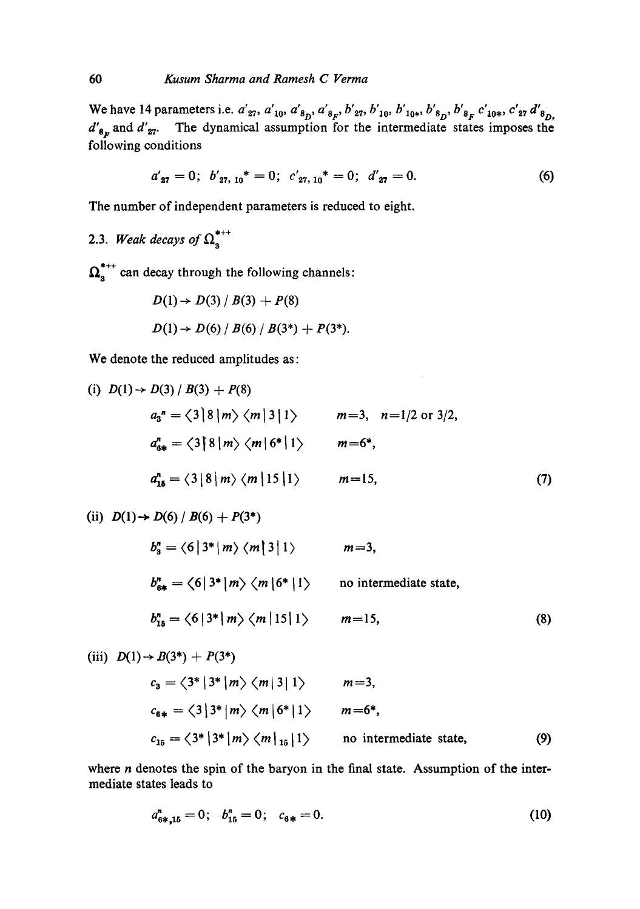We have 14 parameters i.e.  $a'_{27}$ ,  $a'_{10}$ ,  $a'_{8p}$ ,  $a'_{8r}$ ,  $b'_{27}$ ,  $b'_{10}$ ,  $b'_{10*}$ ,  $b'_{8p}$ ,  $b'_{8r}$ ,  $c'_{10*}$ ,  $c'_{27}$   $d'_{8p}$  $d'_{8n}$  and  $d'_{27}$ . The dynamical assumption for the intermediate states imposes the following conditions

$$
a'_{27} = 0; b'_{27, 10}^* = 0; c'_{27, 10}^* = 0; d'_{27} = 0.
$$
 (6)

The number of independent parameters is reduced to eight.

2.3. *Weak decays of*  $\Omega_3^{***}$ 

 $\Omega_{\text{a}}^{*++}$  can decay through the following channels:

$$
D(1) \rightarrow D(3) / B(3) + P(8)
$$
  
 
$$
D(1) \rightarrow D(6) / B(6) / B(3^*) + P(3^*).
$$

We denote the reduced amplitudes as:

(i) 
$$
D(1) \rightarrow D(3) / B(3) + P(8)
$$
  
\n $a_3^n = \langle 3 | 8 | m \rangle \langle m | 3 | 1 \rangle$   $m=3$ ,  $n=1/2$  or  $3/2$ ,  
\n $a_{6*}^n = \langle 3 | 8 | m \rangle \langle m | 6^* | 1 \rangle$   $m=6^*$ ,  
\n $a_{16}^n = \langle 3 | 8 | m \rangle \langle m | 15 | 1 \rangle$   $m=15$ , (7)

(ii) 
$$
D(1) \rightarrow D(6) / B(6) + P(3^*)
$$
  
\n $b_3^n = \langle 6 | 3^* | m \rangle \langle m | 3 | 1 \rangle$   $m=3$ ,  
\n $b_{6*}^n = \langle 6 | 3^* | m \rangle \langle m | 6^* | 1 \rangle$  no intermediate state,  
\n $b_{15}^n = \langle 6 | 3^* | m \rangle \langle m | 15 | 1 \rangle$   $m=15$ , (8)

(iii) 
$$
D(1) \rightarrow B(3^*) + P(3^*)
$$
  
\n
$$
c_3 = \langle 3^* | 3^* | m \rangle \langle m | 3 | 1 \rangle \qquad m = 3,
$$
\n
$$
c_{6*} = \langle 3 | 3^* | m \rangle \langle m | 6^* | 1 \rangle \qquad m = 6^*,
$$
\n
$$
c_{15} = \langle 3^* | 3^* | m \rangle \langle m |_{15} | 1 \rangle \qquad \text{no intermediate state,} \tag{9}
$$

where  $n$  denotes the spin of the baryon in the final state. Assumption of the intermediate states leads to

$$
a_{6*,15}^n = 0; \quad b_{15}^n = 0; \quad c_{6*} = 0. \tag{10}
$$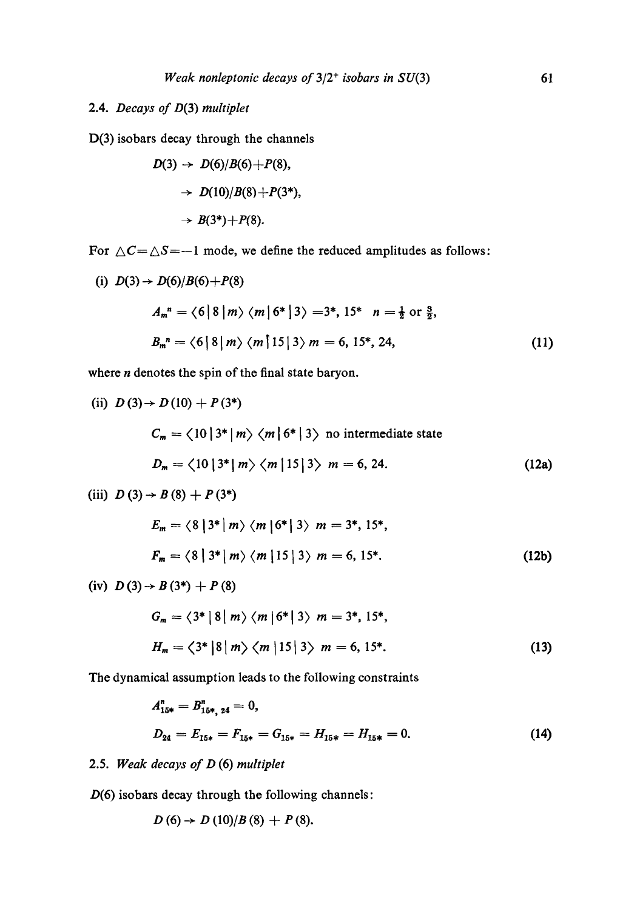## 2.4. *Decays of* D(3) *multiplet*

D(3) isobars decay through the channels

$$
D(3) \rightarrow D(6)/B(6)+P(8),
$$
  
\n
$$
\rightarrow D(10)/B(8)+P(3^*),
$$
  
\n
$$
\rightarrow B(3^*)+P(8).
$$

For  $\triangle C=\triangle S=-1$  mode, we define the reduced amplitudes as follows:

(i) 
$$
D(3) \rightarrow D(6)/B(6) + P(8)
$$
  
\n
$$
A_m^{n} = \langle 6 | 8 | m \rangle \langle m | 6^{*} | 3 \rangle = 3^{*}, 15^{*} \quad n = \frac{1}{2} \text{ or } \frac{3}{2},
$$
\n
$$
B_m^{n} = \langle 6 | 8 | m \rangle \langle m | 15 | 3 \rangle m = 6, 15^{*}, 24,
$$
\n(11)

where *n* denotes the spin of the final state baryon.

(ii) 
$$
D(3) \rightarrow D(10) + P(3^*)
$$
  
\n
$$
C_m = \langle 10 | 3^* | m \rangle \langle m | 6^* | 3 \rangle \text{ no intermediate state}
$$
\n
$$
D_m = \langle 10 | 3^* | m \rangle \langle m | 15 | 3 \rangle \ m = 6, 24.
$$
\n(12a)

(iii) 
$$
D(3) \rightarrow B(8) + P(3^*)
$$

$$
E_m = \langle 8 | 3^* | m \rangle \langle m | 6^* | 3 \rangle \ m = 3^*, 15^*,
$$
  

$$
F_m = \langle 8 | 3^* | m \rangle \langle m | 15 | 3 \rangle \ m = 6, 15^*.
$$
 (12b)

(iv)  $D(3) \rightarrow B(3^*) + P(8)$ 

$$
G_m = \langle 3^* | 8 | m \rangle \langle m | 6^* | 3 \rangle \ m = 3^*, 15^*,
$$
  

$$
H_m = \langle 3^* | 8 | m \rangle \langle m | 15 | 3 \rangle \ m = 6, 15^*.
$$
 (13)

The dynamical assumption leads to the following constraints

$$
A_{15*}^{n} = B_{15*}^{n}, \quad \underline{\mathbf{A}} = 0,
$$
\n
$$
D_{24} = E_{15*} = F_{15*} = G_{15*} = H_{15*} = H_{15*} = 0.
$$
\n
$$
(14)
$$

# 2.5. *Weak decays of D* (6) *multiplet*

 $D(6)$  isobars decay through the following channels:

$$
D(6) \to D(10)/B(8) + P(8).
$$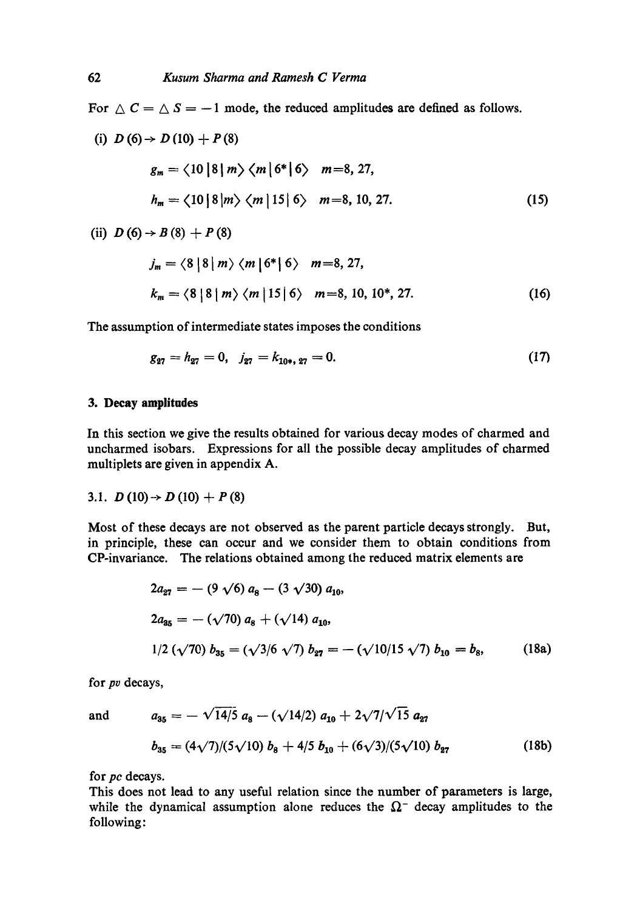For  $\triangle C = \triangle S = -1$  mode, the reduced amplitudes are defined as follows.

(i) 
$$
D(6) \rightarrow D(10) + P(8)
$$
  
\n $g_m = \langle 10 | 8 | m \rangle \langle m | 6^* | 6 \rangle \quad m = 8, 27,$   
\n $h_m = \langle 10 | 8 | m \rangle \langle m | 15 | 6 \rangle \quad m = 8, 10, 27.$  (15)

(ii)  $D(6) \rightarrow B(8) + P(8)$ 

$$
j_m = \langle 8 | 8 | m \rangle \langle m | 6^* | 6 \rangle \quad m = 8, 27,
$$
  

$$
k_m = \langle 8 | 8 | m \rangle \langle m | 15 | 6 \rangle \quad m = 8, 10, 10^*, 27.
$$
 (16)

The assumption of intermediate states imposes the conditions

$$
g_{27} = h_{27} = 0, \quad j_{27} = k_{10*,\,27} = 0. \tag{17}
$$

### **3. Decay amplitudes**

In this section we give the results obtained for various decay modes of charmed and uncharmed isobars. Expressions for all the possible decay amplitudes of charmed multiplets are given in appendix A.

3.1. 
$$
D(10) \rightarrow D(10) + P(8)
$$

Most of these decays are not observed as the parent particle decays strongly. But, in principle, these can occur and we consider them to obtain conditions from CP-invariance. The relations obtained among the reduced matrix elements are

$$
2a_{27} = -(9 \sqrt{6}) a_8 - (3 \sqrt{30}) a_{10},
$$
  
\n
$$
2a_{35} = -(\sqrt{70}) a_8 + (\sqrt{14}) a_{10},
$$
  
\n
$$
1/2 (\sqrt{70}) b_{35} = (\sqrt{3}/6 \sqrt{7}) b_{27} = -(\sqrt{10}/15 \sqrt{7}) b_{10} = b_8,
$$
 (18a)

for *pv* decays,

and 
$$
a_{35} = -\sqrt{14/5} a_8 - (\sqrt{14/2}) a_{10} + 2\sqrt{7}/\sqrt{15} a_{27}
$$
  
 $b_{35} = (4\sqrt{7})/(5\sqrt{10}) b_8 + 4/5 b_{10} + (6\sqrt{3})/(5\sqrt{10}) b_{27}$  (18b)

for *pc* decays.

This does not lead to any useful relation since the number of parameters is large, while the dynamical assumption alone reduces the  $\Omega$ <sup>-</sup> decay amplitudes to the following: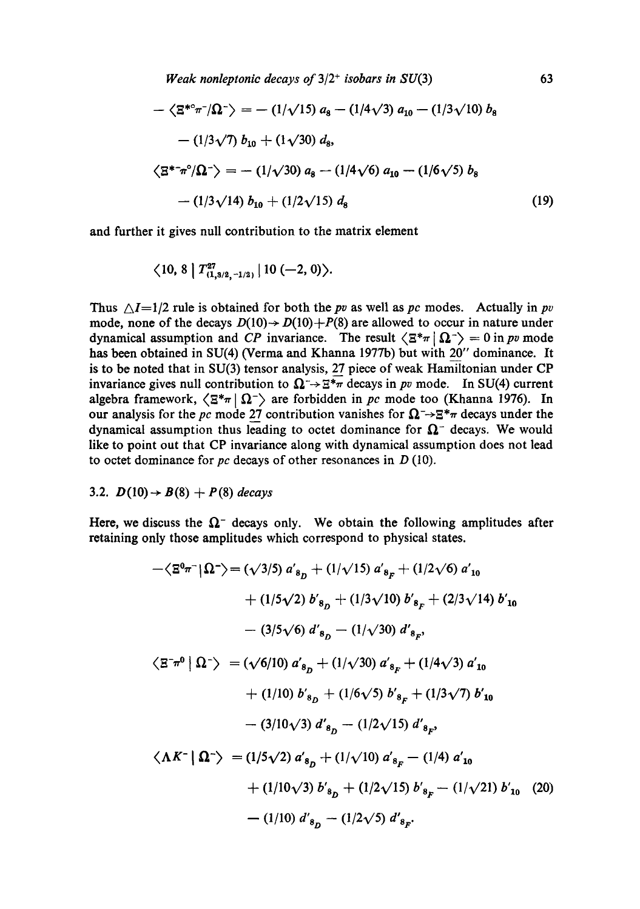$$
-\langle \Xi^{*c} \pi^{-} / \Omega^{-} \rangle = -(1/\sqrt{15}) a_8 - (1/4\sqrt{3}) a_{10} - (1/3\sqrt{10}) b_8
$$
  
 
$$
-(1/3\sqrt{7}) b_{10} + (1\sqrt{30}) d_8,
$$
  
 
$$
\langle \Xi^{*} \pi^c / \Omega^{-} \rangle = -(1/\sqrt{30}) a_8 - (1/4\sqrt{6}) a_{10} - (1/6\sqrt{5}) b_8
$$
  
 
$$
-(1/3\sqrt{14}) b_{10} + (1/2\sqrt{15}) d_8
$$
 (19)

and further it gives null contribution to the matrix element

$$
\langle 10, 8 | T^{27}_{(1,3/2,-1/2)} | 10 (-2,0) \rangle.
$$

Thus  $\Delta I=1/2$  rule is obtained for both the *pv* as well as *pc* modes. Actually in *pv* mode, none of the decays  $D(10) \rightarrow D(10) + P(8)$  are allowed to occur in nature under dynamical assumption and *CP* invariance. The result  $\langle \Xi^* \pi | \Omega^- \rangle = 0$  in *pv* mode has been obtained in SU(4) (Verma and Khanna 1977b) but with 20" dominance. It is to be noted that in SU(3) tensor analysis, 27 piece of weak Hamiltonian under CP invariance gives null contribution to  $\Omega \rightarrow \mathbb{E}^*\pi$  decays in *pv* mode. In SU(4) current algebra framework,  $\langle \Xi^* \pi | \Omega \rangle$  are forbidden in *pc* mode too (Khanna 1976). In our analysis for the *pc* mode 27 contribution vanishes for  $\Omega \rightarrow \Xi^* \pi$  decays under the dynamical assumption thus leading to octet dominance for  $\Omega$ <sup>-</sup> decays. We would like to point out that CP invariance along with dynamical assumption does not lead to octet dominance for *pc* decays of other resonances in D (10).

### 3.2.  $D(10) \rightarrow B(8) + P(8)$  *decays*

Here, we discuss the  $\Omega$ <sup>-</sup> decays only. We obtain the following amplitudes after retaining only those amplitudes which correspond to physical states.

$$
-\langle \Xi^0 \pi^- | \Omega^- \rangle = (\sqrt{3/5}) a'_{s_D} + (1/\sqrt{15}) a'_{s_F} + (1/2\sqrt{6}) a'_{10}
$$
  
+ (1/5 $\sqrt{2}$ ) b'\_{s\_D} + (1/3 $\sqrt{10}$ ) b'\_{s\_F} + (2/3 $\sqrt{14}$ ) b'\_{10}  
- (3/5 $\sqrt{6}$ ) d'\_{s\_D} - (1/\sqrt{30}) d'\_{s\_F},  

$$
\langle \Xi^- \pi^0 | \Omega^- \rangle = (\sqrt{6/10}) a'_{s_D} + (1/\sqrt{30}) a'_{s_F} + (1/4\sqrt{3}) a'_{10}
$$
  
+ (1/10) b'\_{s\_D} + (1/6 $\sqrt{5}$ ) b'\_{s\_F} + (1/3 $\sqrt{7}$ ) b'\_{10}  
- (3/10 $\sqrt{3}$ ) d'\_{s\_D} - (1/2 $\sqrt{15}$ ) d'\_{s\_F},  

$$
\langle \Lambda K^- | \Omega^- \rangle = (1/5\sqrt{2}) a'_{s_D} + (1/\sqrt{10}) a'_{s_F} - (1/4) a'_{10}
$$
  
+ (1/10 $\sqrt{3}$ ) b'\_{s\_D} + (1/2 $\sqrt{15}$ ) b'\_{s\_F} - (1/\sqrt{21}) b'\_{10} (20)  
- (1/10) d'\_{s\_D} - (1/2 $\sqrt{5}$ ) d'\_{s\_F}.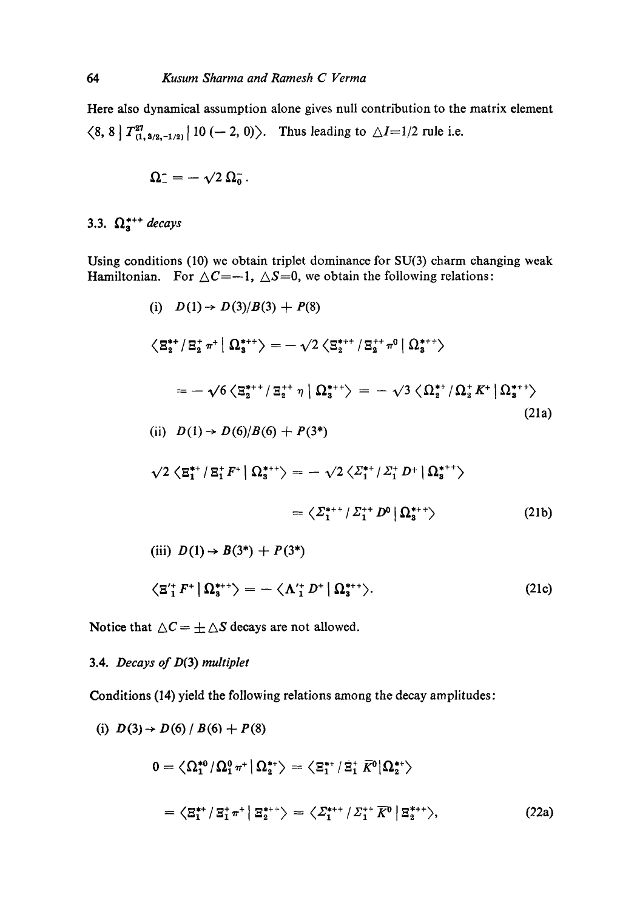Here also dynamical assumption alone gives null contribution to the matrix element  $\langle 8, 8 \nvert T_{(1, 3/2, -1/2)}^{27} \nvert 10 \, (-2, 0) \rangle$ . Thus leading to  $\triangle I = 1/2$  rule i.e.

$$
\Omega_{-}^{\scriptscriptstyle{-}}=-\sqrt{2}\,\Omega_{0}^{\scriptscriptstyle{-}}\,.
$$

3.3.  $\Omega_{\rm s}^{*++}$  *decays* 

Using conditions (10) we obtain triplet dominance for SU(3) charm changing weak Hamiltonian. For  $\Delta C = -1$ ,  $\Delta S = 0$ , we obtain the following relations:

(i) 
$$
D(1) \rightarrow D(3)/B(3) + P(8)
$$
  
\n
$$
\langle \mathbf{E}_{2}^{*+} / \mathbf{E}_{2}^{+} \pi^{+} | \mathbf{\Omega}_{3}^{*++} \rangle = -\sqrt{2} \langle \mathbf{E}_{2}^{*++} / \mathbf{E}_{2}^{++} \pi^{0} | \mathbf{\Omega}_{3}^{*++} \rangle
$$
\n
$$
= -\sqrt{6} \langle \mathbf{E}_{2}^{*++} / \mathbf{E}_{2}^{++} \eta | \mathbf{\Omega}_{3}^{*++} \rangle = -\sqrt{3} \langle \mathbf{\Omega}_{2}^{*+} / \mathbf{\Omega}_{2}^{*} K^{+} | \mathbf{\Omega}_{3}^{*++} \rangle
$$
\n(iii)  $D(1) \rightarrow D(6)/B(6) + P(3^{*})$ \n
$$
\sqrt{2} \langle \mathbf{E}_{1}^{*+} / \mathbf{E}_{1}^{+} F^{+} | \mathbf{\Omega}_{3}^{*++} \rangle = -\sqrt{2} \langle \mathbf{\Sigma}_{1}^{*+} / \mathbf{\Sigma}_{1}^{+} D^{+} | \mathbf{\Omega}_{3}^{*++} \rangle
$$
\n
$$
= \langle \mathbf{\Sigma}_{1}^{*++} / \mathbf{\Sigma}_{1}^{+} D^{0} | \mathbf{\Omega}_{3}^{*+} \rangle
$$
\n(iii)  $D(1) \rightarrow B(3^{*}) + P(3^{*})$ \n
$$
\langle \mathbf{E}_{1}^{*} F^{+} | \mathbf{\Omega}_{3}^{*+} \rangle = -\langle \mathbf{\Lambda}_{1}^{*} D^{+} | \mathbf{\Omega}_{3}^{*+} \rangle.
$$
\n(21c)

Notice that  $\Delta C = \pm \Delta S$  decays are not allowed.

## 3.4. *Decays of D(3) multiplet*

Conditions (14) yield the following relations among the decay amplitudes:

(i) 
$$
D(3) \rightarrow D(6) / B(6) + P(8)
$$
  
\n
$$
0 = \langle \Omega_1^{*0} / \Omega_1^0 \pi^+ | \Omega_2^{*+} \rangle = \langle \Xi_1^{*+} / \Xi_1^{+} \overline{K}^0 | \Omega_2^{*+} \rangle
$$
\n
$$
= \langle \Xi_1^{**} / \Xi_1^{+} \pi^+ | \Xi_2^{*++} \rangle = \langle \Sigma_1^{***} / \Sigma_1^{***} \overline{K}^0 | \Xi_2^{***} \rangle, \tag{22a}
$$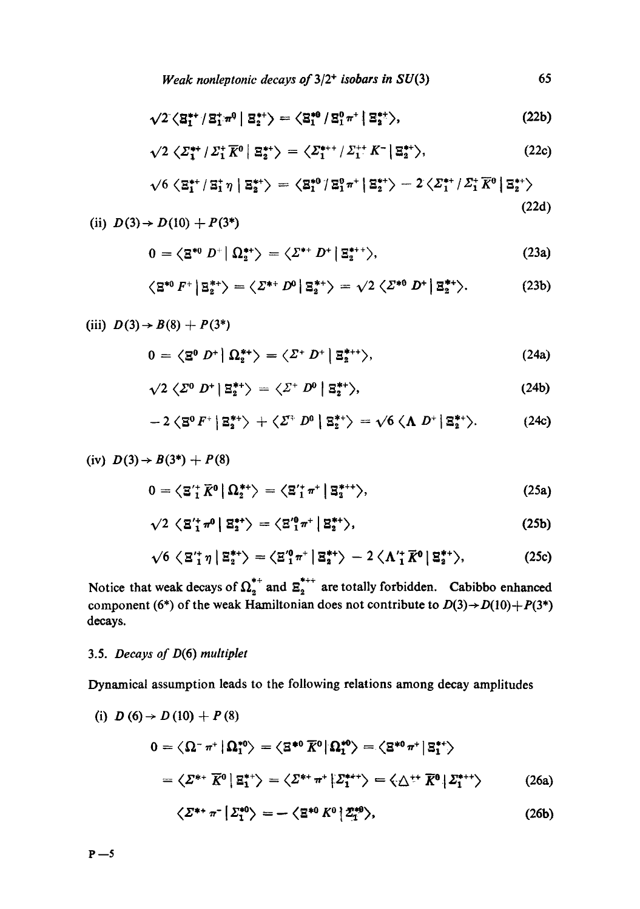$$
\sqrt{2} \left\langle \mathbf{S}_{1}^{**} / \mathbf{S}_{1}^{**} \, m^{0} \, \middle| \, \mathbf{S}_{2}^{**} \right\rangle = \left\langle \mathbf{S}_{1}^{*0} / \mathbf{S}_{1}^{0} \, \pi^{+} \, \middle| \, \mathbf{S}_{2}^{**} \right\rangle, \tag{22b}
$$

$$
\sqrt{2} \left\langle \mathcal{Z}_{1}^{\ast\ast} / \mathcal{Z}_{1}^{\ast} \overline{K}^{0} \, \middle| \, \mathbb{E}_{2}^{\ast\ast} \right\rangle = \left\langle \mathcal{Z}_{1}^{\ast\ast\ast} / \mathcal{Z}_{1}^{\ast\ast} \, \mathcal{K}^{-} \, \middle| \, \mathbb{E}_{2}^{\ast\ast} \right\rangle, \tag{22c}
$$

$$
\sqrt{6} \left\langle \mathbf{\Xi}_{1}^{**} / \mathbf{\Xi}_{1}^{*} \boldsymbol{\eta} \, \middle| \, \mathbf{\Xi}_{2}^{**} \right\rangle = \left\langle \mathbf{\Xi}_{1}^{*0} / \mathbf{\Xi}_{1}^{0} \boldsymbol{\pi}^{+} \, \middle| \, \mathbf{\Xi}_{2}^{**} \right\rangle - 2 \left\langle \mathbf{\Sigma}_{1}^{**} / \mathbf{\Sigma}_{1}^{*} \, \overline{K}^{0} \, \middle| \, \mathbf{\Xi}_{2}^{**} \right\rangle
$$
\n(22d)

(ii) 
$$
D(3) \rightarrow D(10) + P(3^*)
$$

$$
0 = \left\langle \mathbf{\Xi}^{*0} \ D^+ \middle| \ \Omega_2^{**} \right\rangle = \left\langle \mathbf{\Sigma}^{*+} \ D^+ \middle| \mathbf{\Xi}_2^{*+} \right\rangle, \tag{23a}
$$

$$
\left\langle \mathbf{B}^{*0} F^+ \left| \mathbf{B}_2^{*+} \right\rangle \right\rangle = \left\langle \mathbf{Z}^{*+} D^0 \left| \mathbf{B}_2^{*+} \right\rangle \right\rangle = \sqrt{2} \left\langle \mathbf{Z}^{*0} D^+ \left| \mathbf{B}_2^{*+} \right\rangle. \tag{23b}
$$

(iii) 
$$
D(3) \rightarrow B(8) + P(3^*)
$$
  
\n
$$
0 = \langle \mathbf{\Sigma}^0 \ D^+ | \ \Omega_2^{**} \rangle = \langle \Sigma^+ \ D^+ | \ \mathbf{\Xi}_2^{***} \rangle, \tag{24a}
$$

$$
\sqrt{2} \langle \varSigma^0 D^+ | \varXi_2^{*+} \rangle = \langle \varSigma^+ D^0 | \varXi_2^{*+} \rangle, \tag{24b}
$$

$$
-2\langle \mathbf{S}^0 F^+ | \mathbf{S}_2^{*+} \rangle + \langle \mathcal{Z}^+ D^0 | \mathbf{S}_2^{*+} \rangle = \sqrt{6} \langle \mathbf{\Lambda} D^+ | \mathbf{S}_2^{*+} \rangle. \tag{24c}
$$

(iv) 
$$
D(3) \rightarrow B(3^*) + P(8)
$$
  
\n
$$
0 = \langle \mathbf{\Sigma'}_1^* \overline{K}^0 | \Omega_2^{**} \rangle = \langle \mathbf{\Sigma'}_1^* \pi^+ | \mathbf{\Sigma}_3^{*++} \rangle, \tag{25a}
$$
\n
$$
\sqrt{2} \langle \mathbf{\Sigma'}_1^* \pi^0 | \mathbf{\Sigma}_2^{**} \rangle = \langle \mathbf{\Sigma'}_1^0 \pi^+ | \mathbf{\Sigma}_2^{**} \rangle, \tag{25b}
$$

$$
\sqrt{6} \langle \mathbf{\Xi}_1^{\prime\prime} \boldsymbol{\eta} | \mathbf{\Xi}_2^{\prime\prime} \rangle = \langle \mathbf{\Xi}_1^{\prime 0} \boldsymbol{\pi}^* | \mathbf{\Xi}_2^{\prime\prime} \rangle - 2 \langle \Lambda_1^{\prime \prime} \overline{K}^0 | \mathbf{\Xi}_2^{\prime\prime} \rangle, \qquad (25c)
$$

Notice that weak decays of  $\Omega_2^{**}$  and  $\Xi_2^{***}$  are totally forbidden. Cabibbo enhanced component (6\*) of the weak Hamiltonian does not contribute to  $D(3) \rightarrow D(10) + P(3^*)$ decays.

## 3.5. *Decays of* D(6) *multiplet*

Dynamical assumption leads to the following relations among decay amplitudes

(i) 
$$
D(6) \rightarrow D(10) + P(8)
$$
  
\n
$$
0 = \langle \Omega^- \pi^+ | \Omega_1^{*0} \rangle = \langle \Xi^{*0} \overline{K}^0 | \Omega_1^{*0} \rangle = \langle \Xi^{*0} \pi^+ | \Xi_1^{*+} \rangle
$$
\n
$$
= \langle \Sigma^{*+} \overline{K}^0 | \Xi_1^{*+} \rangle = \langle \Sigma^{*+} \pi^+ | \Sigma_1^{*++} \rangle = \langle \Delta^{++} \overline{K}^0 | \Sigma_1^{*+} \rangle \qquad (26a)
$$
\n
$$
\langle \Sigma^{*+} \pi^- | \Sigma_1^{*0} \rangle = - \langle \Xi^{*0} K^0 | \Sigma_1^{*0} \rangle, \qquad (26b)
$$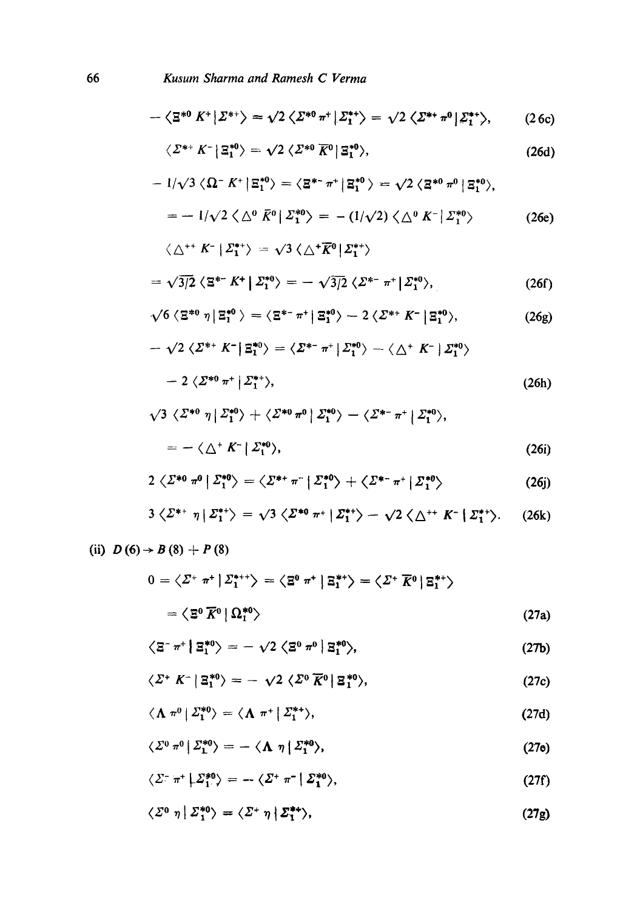$$
\langle \varSigma^0 \; \eta \, | \; \varSigma_1^{*0} \rangle = \langle \varSigma^* \; \eta \, | \; \varSigma_1^{**} \rangle, \tag{27g}
$$

$$
\langle \varSigma^-\pi^+\big|\varSigma_1^{*0}\rangle = -\langle \varSigma^+\pi^-\big|\varSigma_1^{*0}\rangle,\tag{27f}
$$

$$
\langle \varSigma^0 \pi^0 | \varSigma^{*0}_1 \rangle = - \langle \Lambda \eta | \varSigma^{*0}_1 \rangle, \tag{27e}
$$

$$
\langle \Lambda \pi^0 | \Sigma_1^{*0} \rangle = \langle \Lambda \pi^+ | \Sigma_1^{*+} \rangle, \tag{27d}
$$

$$
\langle \Sigma^+ K^- | \Xi_1^{*0} \rangle = - \sqrt{2} \langle \Sigma^0 \overline{K}^0 | \Xi_1^{*0} \rangle, \qquad (27c)
$$

$$
\left\langle \Xi^{-} \pi^{+} \left| \Xi_{1}^{*0} \right\rangle \right\rangle = - \sqrt{2} \left\langle \Xi^{0} \pi^{0} \left| \Xi_{1}^{*0} \right\rangle, \tag{27b}
$$

$$
=\left\langle \Xi^0 \,\overline{K}{}^0 \,|\, \Omega_1^{*0} \right\rangle \tag{27a}
$$

$$
0 = \langle \varSigma^* \; \pi^* \, | \, \varSigma_1^{*++} \rangle = \langle \Xi^0 \; \pi^* \, | \; \Xi_1^{*+} \rangle = \langle \varSigma^* \; \overline{K}^0 \, | \, \Xi_1^{*+} \rangle
$$

(ii) 
$$
D(6) \rightarrow B(8) + P(8)
$$

$$
3\langle \Sigma^{*+} \eta | \Sigma_1^{*+} \rangle = \sqrt{3} \langle \Sigma^{*0} \eta^+ | \Sigma_1^{*+} \rangle - \sqrt{2} \langle \triangle^{++} K^- | \Sigma_1^{*+} \rangle. \tag{26k}
$$

$$
2\langle \Sigma^{*0} \pi^0 | \Sigma_1^{*0} \rangle = \langle \Sigma^{*+} \pi^- | \Sigma_1^{*0} \rangle + \langle \Sigma^{*-} \pi^+ | \Sigma_1^{*0} \rangle \tag{26j}
$$

$$
= - \langle \triangle^+ K^- | \varSigma_1^{*0} \rangle, \tag{26i}
$$

$$
\sqrt{3} \langle \varSigma^{*0} \eta | \varSigma_1^{*0} \rangle + \langle \varSigma^{*0} \pi^0 | \varSigma_1^{*0} \rangle - \langle \varSigma^{*-} \pi^+ | \varSigma_1^{*0} \rangle,
$$

$$
-2\langle \mathcal{Z}^{*0} \pi^+ | \mathcal{Z}^{*+}_1 \rangle, \tag{26h}
$$

$$
-\sqrt{2} \langle \varSigma^{*+} K^- | \varXi^{*0}_1 \rangle = \langle \varSigma^{*-} \pi^+ | \varSigma^{*0}_1 \rangle - \langle \vartriangle^{+} K^- | \varSigma^{*0}_1 \rangle
$$

$$
\sqrt{6} \langle \Xi^{*0} \eta | \Xi_1^{*0} \rangle = \langle \Xi^{*-} \pi^+ | \Xi_1^{*0} \rangle - 2 \langle \Sigma^{*+} K^- | \Xi_1^{*0} \rangle, \tag{26g}
$$

$$
= \sqrt{3/2} \langle \Xi^{*-} K^+ | \Sigma_1^{*0} \rangle = - \sqrt{3/2} \langle \Sigma^{*-} \pi^+ | \Sigma_1^{*0} \rangle, \qquad (26f)
$$

$$
\langle \bigtriangleup ^{++} K^- \, \big| \, \mathcal{Z}_1^{*+} \rangle \, = \, \sqrt{3} \, \langle \bigtriangleup ^{+} \overline{K}{}^{0} \, \big| \, \mathcal{Z}_1^{*+} \rangle
$$

$$
= -\left( \frac{1}{\sqrt{2}} \left\langle \Delta^0 \ \bar{K}^0 \right| \Sigma_1^{*0} \right\rangle = -\left( \frac{1}{\sqrt{2}} \right) \left\langle \Delta^0 \ K^- \right| \Sigma_1^{*0} \rangle \tag{26e}
$$

$$
-1/\sqrt{3} \langle \Omega^- K^+ | \Xi_1^{*0} \rangle = \langle \Xi^{*-} \pi^+ | \Xi_1^{*0} \rangle = \sqrt{2} \langle \Xi^{*0} \pi^0 | \Xi_1^{*0} \rangle,
$$

$$
\langle \varSigma^{*+} K^- | \varXi_1^{*0} \rangle = \sqrt{2} \langle \varSigma^{*0} \overline{K}^0 | \varXi_1^{*0} \rangle, \tag{26d}
$$

$$
-\langle \mathbf{\Xi}^{*0} | K^+ | \mathbf{\Sigma}^{*+} \rangle = \sqrt{2} \langle \mathbf{\Sigma}^{*0} | \pi^+ | \mathbf{\Sigma}_1^{*+} \rangle = \sqrt{2} \langle \mathbf{\Sigma}^{*+} | \pi^0 | \mathbf{\Sigma}_1^{*+} \rangle, \tag{26c}
$$

$$
-\langle \mathbf{\Xi}^{*0} | K^+ | \mathbf{\Sigma}^{*+} \rangle = \sqrt{2} \langle \mathbf{\Sigma}^{*0} | \pi^+ | \mathbf{\Sigma}_1^{*+} \rangle = \sqrt{2} \langle \mathbf{\Sigma}^{*+} | \pi^0 | \mathbf{\Sigma}_1^{*+} \rangle, \tag{26c}
$$

Kusum Sharma and Ramesh C Verma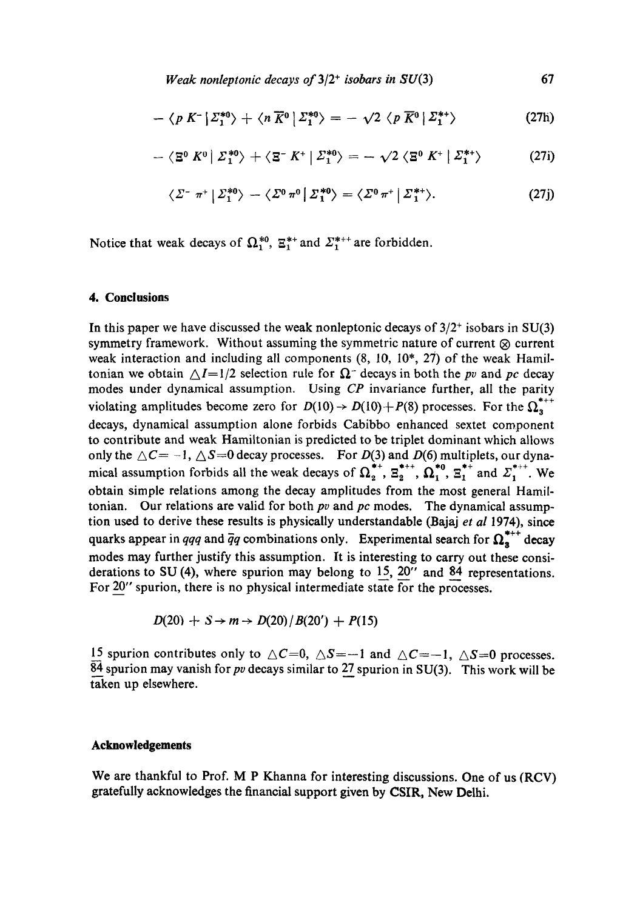$$
-\langle p K^{-} | \Sigma_{1}^{*0} \rangle + \langle n \overline{K}^{0} | \Sigma_{1}^{*0} \rangle = -\sqrt{2} \langle p \overline{K}^{0} | \Sigma_{1}^{*+} \rangle \tag{27h}
$$

$$
-\langle \mathbf{\Xi}^0 K^0 | \Sigma_1^{*0} \rangle + \langle \mathbf{\Xi}^- K^+ | \Sigma_1^{*0} \rangle = -\sqrt{2} \langle \mathbf{\Xi}^0 K^+ | \Sigma_1^{*+} \rangle \tag{27i}
$$

$$
\langle \varSigma^-\pi^+|\varSigma_1^{*0}\rangle - \langle \varSigma^0\pi^0|\varSigma_1^{*0}\rangle = \langle \varSigma^0\pi^+|\varSigma_1^{*+}\rangle. \tag{27j}
$$

Notice that weak decays of  $\Omega_1^{*0}$ ,  $\Xi_1^{*+}$  and  $\Xi_1^{*++}$  are forbidden.

#### **4. Conclusions**

In this paper we have discussed the weak nonleptonic decays of  $3/2^+$  isobars in SU(3) symmetry framework. Without assuming the symmetric nature of current  $\otimes$  current weak interaction and including all components  $(8, 10, 10^*, 27)$  of the weak Hamiltonian we obtain  $\Delta I=1/2$  selection rule for  $\Omega$ <sup>-</sup> decays in both the *pv* and *pc* decay modes under dynamical assumption. Using *CP* invariance further, all the parity violating amplitudes become zero for  $D(10) \rightarrow D(10) + P(8)$  processes. For the  $\Omega_n^{*++}$ decays, dynamical assumption alone forbids Cabibbo enhanced sextet component to contribute and weak Hamiltonian is predicted to be triplet dominant which allows only the  $\triangle C = -1, \triangle S = 0$  decay processes. For  $D(3)$  and  $D(6)$  multiplets, our dynamical assumption forbids all the weak decays of  $\Omega^{*+}_{2}$ ,  $\Xi^{*++}_{2}$ ,  $\Omega^{*0}_{1}$ ,  $\Xi^{*+}_{1}$  and  $\Xi^{***}_{1}$ . We obtain simple relations among the decay amplitudes from the most general Hamiltonian. Our relations are valid for both *pv* and *pc* modes. The dynamical assumption used to derive these results is physically understandable (Bajaj *et al* 1974), since quarks appear in *qqq* and  $\bar{q}q$  combinations only. Experimental search for  $\Omega_a^{***}$  decay modes may further justify this assumption. It is interesting to carry out these considerations to SU (4), where spurion may belong to 15, 20" and 84 representations. For 20" spurion, there is no physical intermediate state for the processes.

$$
D(20) + S \rightarrow m \rightarrow D(20)/B(20') + P(15)
$$

15 spurion contributes only to  $\triangle C=0$ ,  $\triangle S=-1$  and  $\triangle C=-1$ ,  $\triangle S=0$  processes. 84 spurion may vanish for *pv* decays similar to 27 spurion in SU(3). This work will be taken up elsewhere.

#### **Acknowledgements**

We are thankful to Prof. M P Khanna for interesting discussions. One of us (RCV) gratefully acknowledges the financial support given by CSIR, New Delhi.

67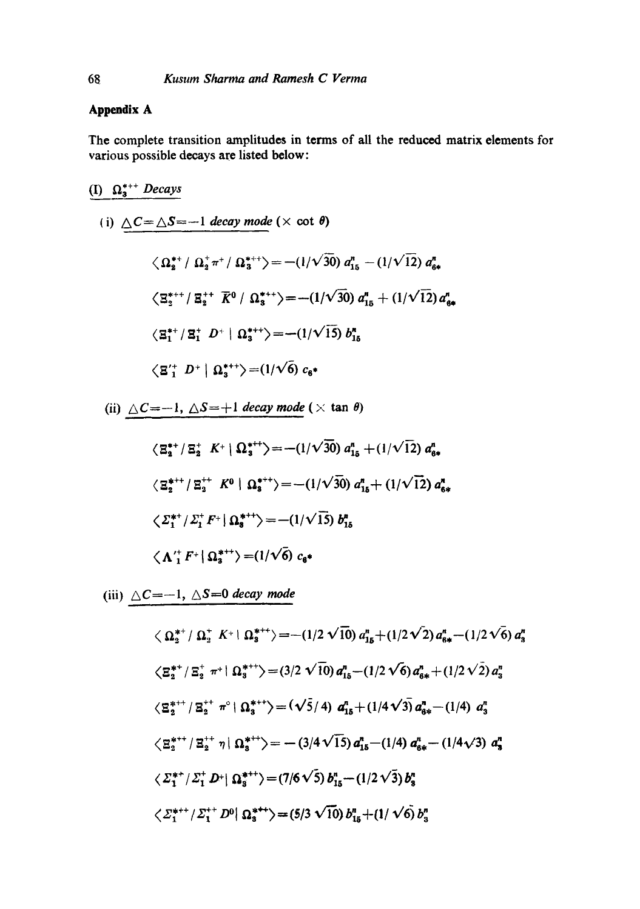## **Appendix A**

The complete transition amplitudes in terms of all the reduced matrix elements for various possible decays are listed below:

$$
\frac{(I) \ \ \Omega_3^{*+} \text{Decays}}{\langle 1 \rangle \ \ \Delta C = \Delta S = -1 \ \text{decay mode } (\times \text{ cot } \theta) \n\ \ \langle \ \Omega_2^{*+} / \ \ \Omega_2^{*+} / \ \ \Omega_3^{*+} \rangle = -(1/\sqrt{30}) \ a_{15}^n - (1/\sqrt{12}) \ a_{6*}^n \n\ \ \langle \ \Sigma_2^{*++} / \ \Sigma_2^{++} \ \ \overline{K}^0 / \ \ \Omega_3^{*+} \rangle = -(1/\sqrt{30}) \ a_{15}^n + (1/\sqrt{12}) \ a_{6*}^n \n\ \langle \ \Sigma_1^{*+} / \ \Sigma_1^{+} \ \ D^+ \ | \ \ \Omega_3^{*+} \rangle = -(1/\sqrt{15}) \ b_{15}^n \n\ \ \langle \ \Sigma_1^{+} \ \ D^+ \ | \ \ \Omega_3^{*+} \rangle = (1/\sqrt{6}) \ c_6.
$$

(ii)  $\Delta C=-1, \Delta S=+1$  *decay mode* ( $\times$  tan  $\theta$ )

$$
\langle \Xi_{2}^{*+} / \Xi_{2}^{+} K^{+} | \Omega_{3}^{*+} \rangle = -(1/\sqrt{30}) a_{15}^{n} + (1/\sqrt{12}) a_{6*}^{n}
$$
  

$$
\langle \Xi_{2}^{*++} / \Xi_{3}^{+} K^{0} | \Omega_{3}^{*+} \rangle = -(1/\sqrt{30}) a_{15}^{n} + (1/\sqrt{12}) a_{6*}^{n}
$$
  

$$
\langle \Sigma_{1}^{*+} / \Sigma_{1}^{+} F^{+} | \Omega_{3}^{*+} \rangle = -(1/\sqrt{15}) b_{15}^{n}
$$
  

$$
\langle \Lambda_{1}^{+} F^{+} | \Omega_{3}^{*+} \rangle = (1/\sqrt{6}) c_{6*}
$$

(iii)  $\triangle C=-1, \triangle S=0$  *decay mode* 

$$
\langle \Omega_{2}^{*+}/\Omega_{2}^{+} K^{+} | \Omega_{3}^{*++}\rangle = -(1/2 \sqrt{10}) a_{15}^{n} + (1/2 \sqrt{2}) a_{6*}^{n} - (1/2 \sqrt{6}) a_{3}^{n}
$$
  

$$
\langle \Xi_{2}^{*+}/\Xi_{2}^{+} \pi^{+} | \Omega_{3}^{*++}\rangle = (3/2 \sqrt{10}) a_{15}^{n} - (1/2 \sqrt{6}) a_{6*}^{n} + (1/2 \sqrt{2}) a_{3}^{n}
$$
  

$$
\langle \Xi_{2}^{*++}/\Xi_{2}^{+} \pi^{0} | \Omega_{3}^{*++}\rangle = (\sqrt{5}/4) a_{15}^{n} + (1/4 \sqrt{3}) a_{6*}^{n} - (1/4) a_{3}^{n}
$$
  

$$
\langle \Xi_{2}^{*++}/\Xi_{2}^{++} \eta | \Omega_{3}^{*++}\rangle = -(3/4 \sqrt{15}) a_{15}^{n} - (1/4) a_{6*}^{n} - (1/4 \sqrt{3}) a_{3}^{n}
$$
  

$$
\langle \Sigma_{1}^{*+}/\Sigma_{1}^{+} D^{+} | \Omega_{3}^{*++}\rangle = (7/6 \sqrt{5}) b_{15}^{n} - (1/2 \sqrt{3}) b_{3}^{n}
$$
  

$$
\langle \Sigma_{1}^{*++}/\Sigma_{1}^{++} D^{0} | \Omega_{3}^{*++}\rangle = (5/3 \sqrt{10}) b_{15}^{n} + (1/\sqrt{6}) b_{3}^{n}
$$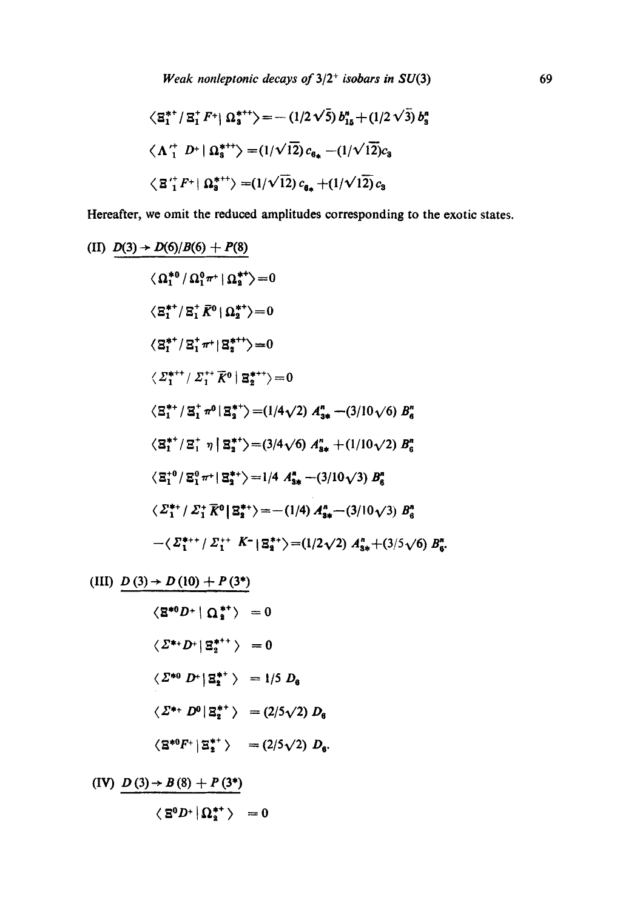$$
\langle \mathbf{g}_{1}^{**} / \mathbf{g}_{1}^{*} F^{+} | \mathbf{\Omega}_{3}^{**} \rangle = - (1/2 \sqrt{5}) b_{15}^{n} + (1/2 \sqrt{3}) b_{3}^{n}
$$
  

$$
\langle \Lambda_{1}^{+} D^{+} | \mathbf{\Omega}_{3}^{*+} \rangle = (1/\sqrt{12}) c_{6_{*}} - (1/\sqrt{12}) c_{3}
$$
  

$$
\langle \mathbf{g}_{1}^{+} F^{+} | \mathbf{\Omega}_{3}^{*+} \rangle = (1/\sqrt{12}) c_{6_{*}} + (1/\sqrt{12}) c_{3}
$$

Hereafter, we omit the reduced amplitudes corresponding to the exotic states.

(II) 
$$
\frac{D(3) \rightarrow D(6)/B(6) + P(8)}{\langle \Omega_1^{*0} / \Omega_1^{0} \pi^+ | \Omega_2^{*+} \rangle} = 0
$$
  
\n
$$
\langle \Xi_1^{*+} / \Xi_1^{+} \overline{K}^0 | \Omega_2^{*+} \rangle = 0
$$
  
\n
$$
\langle \Xi_1^{*+} / \Xi_1^{+} \pi^+ | \Xi_2^{*+} \rangle = 0
$$
  
\n
$$
\langle \Sigma_1^{*++} / \Sigma_1^{++} \overline{K}^0 | \Xi_2^{*++} \rangle = 0
$$
  
\n
$$
\langle \Xi_1^{*+} / \Xi_1^{+} \pi^0 | \Xi_2^{*+} \rangle = (1/4\sqrt{2}) A_{3*}^n - (3/10\sqrt{6}) B_6^n
$$
  
\n
$$
\langle \Xi_1^{*+} / \Xi_1^{+} \eta | \Xi_2^{*+} \rangle = (3/4\sqrt{6}) A_{3*}^n + (1/10\sqrt{2}) B_6^n
$$
  
\n
$$
\langle \Xi_1^{*0} / \Xi_1^{0} \pi^+ | \Xi_2^{*+} \rangle = 1/4 A_{3*}^n - (3/10\sqrt{3}) B_6^n
$$
  
\n
$$
\langle \Sigma_1^{*+} / \Sigma_1^{+} \overline{K}^0 | \Xi_2^{*+} \rangle = -(1/4) A_{3*}^n - (3/10\sqrt{3}) B_6^n
$$
  
\n
$$
-\langle \Sigma_1^{*++} / \Sigma_1^{++} K^- | \Xi_2^{*+} \rangle = (1/2\sqrt{2}) A_{3*}^n + (3/5\sqrt{6}) B_6^n.
$$

(III) 
$$
\frac{D(3) \rightarrow D(10) + P(3^*)}{\langle \mathbf{Z}^{*0} D^+ | \mathbf{\Omega}_2^{*+} \rangle} = 0
$$
  
\n
$$
\langle \mathbf{\Sigma}^{*+} D^+ | \mathbf{\Xi}_2^{*+} \rangle = 0
$$
  
\n
$$
\langle \mathbf{\Sigma}^{*0} D^+ | \mathbf{\Xi}_2^{*+} \rangle = 1/5 D_0
$$
  
\n
$$
\langle \mathbf{\Sigma}^{*+} D^0 | \mathbf{\Xi}_2^{*+} \rangle = (2/5\sqrt{2}) D_6
$$
  
\n
$$
\langle \mathbf{\Xi}^{*0} F^+ | \mathbf{\Xi}_2^{*+} \rangle = (2/5\sqrt{2}) D_6.
$$
  
\n(IV) 
$$
\frac{D(3) \rightarrow B(8) + P(3^*)}{\langle \mathbf{\Xi}^0 D^+ | \mathbf{\Omega}_2^{*+} \rangle} = 0
$$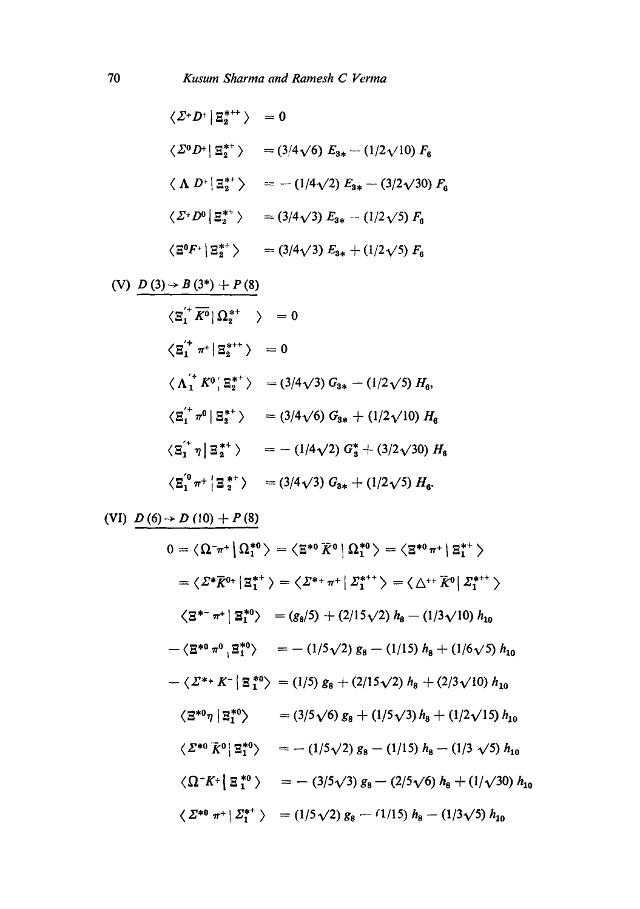$$
\langle \Sigma^+ D^+ | \Xi_2^{***} \rangle = 0
$$
  

$$
\langle \Sigma^0 D^+ | \Xi_2^{**} \rangle = (3/4\sqrt{6}) E_{3*} - (1/2\sqrt{10}) F_6
$$
  

$$
\langle \Lambda D^+ | \Xi_2^{**} \rangle = -(1/4\sqrt{2}) E_{3*} - (3/2\sqrt{30}) F_6
$$
  

$$
\langle \Sigma^+ D^0 | \Xi_2^{**} \rangle = (3/4\sqrt{3}) E_{3*} - (1/2\sqrt{5}) F_6
$$
  

$$
\langle \Xi^0 F^+ | \Xi_2^{**} \rangle = (3/4\sqrt{3}) E_{3*} + (1/2\sqrt{5}) F_6
$$

$$
(V) \quad \underline{D(3) \rightarrow B(3^*) + P(8)}
$$
\n
$$
\langle \underline{z}_1^{'+} \overline{K^0} | \Omega_2^{*+} \rangle = 0
$$
\n
$$
\langle \underline{z}_1^{i^+} \pi^+ | \underline{z}_2^{*+} \rangle = 0
$$
\n
$$
\langle \Lambda_1^{i^+} K^0 | \underline{z}_2^{*+} \rangle = (3/4\sqrt{3}) G_{3*} - (1/2\sqrt{5}) H_6,
$$
\n
$$
\langle \underline{z}_1^{i^+} \pi^0 | \underline{z}_2^{*+} \rangle = (3/4\sqrt{6}) G_{3*} + (1/2\sqrt{10}) H_6
$$
\n
$$
\langle \underline{z}_1^{i^+} \eta | \underline{z}_2^{*+} \rangle = -(1/4\sqrt{2}) G_3^* + (3/2\sqrt{30}) H_6
$$
\n
$$
\langle \underline{z}_1^{i^0} \pi^+ | \underline{z}_2^{*+} \rangle = (3/4\sqrt{3}) G_{3*} + (1/2\sqrt{5}) H_6.
$$

(VI)  $D(6) \rightarrow D(10) + P(8)$ 

$$
0 = \langle \Omega^{-}\pi^{+} | \Omega_{1}^{*0} \rangle = \langle \Xi^{*0} \overline{K}^{0} | \Omega_{1}^{*0} \rangle = \langle \Xi^{*0} \pi^{+} | \Xi_{1}^{*+} \rangle
$$
  
\n
$$
= \langle \Sigma^{*} \overline{K}^{0+} | \Xi_{1}^{*+} \rangle = \langle \Sigma^{*+} \pi^{+} | \Sigma_{1}^{*++} \rangle = \langle \Delta^{++} \overline{K}^{0} | \Sigma_{1}^{*++} \rangle
$$
  
\n
$$
\langle \Xi^{*-} \pi^{+} | \Xi_{1}^{*0} \rangle = (g_{8}/5) + (2/15\sqrt{2}) h_{8} - (1/3\sqrt{10}) h_{10}
$$
  
\n
$$
- \langle \Xi^{*0} \pi^{0} | \Xi_{1}^{*0} \rangle = - (1/5\sqrt{2}) g_{8} - (1/15) h_{8} + (1/6\sqrt{5}) h_{10}
$$
  
\n
$$
- \langle \Sigma^{*+} K^{-} | \Xi_{1}^{*0} \rangle = (1/5) g_{8} + (2/15\sqrt{2}) h_{8} + (2/3\sqrt{10}) h_{10}
$$
  
\n
$$
\langle \Xi^{*0} \eta | \Xi_{1}^{*0} \rangle = (3/5\sqrt{6}) g_{8} + (1/5\sqrt{3}) h_{8} + (1/2\sqrt{15}) h_{10}
$$
  
\n
$$
\langle \Sigma^{*0} \overline{K}^{0} | \Xi_{1}^{*0} \rangle = - (1/5\sqrt{2}) g_{8} - (1/15) h_{8} - (1/3\sqrt{5}) h_{10}
$$
  
\n
$$
\langle \Omega^{-} K^{+} | \Xi_{1}^{*0} \rangle = - (3/5\sqrt{3}) g_{8} - (2/5\sqrt{6}) h_{8} + (1/\sqrt{30}) h_{10}
$$
  
\n
$$
\langle \Sigma^{*0} \pi^{+} | \Sigma_{1}^{*+} \rangle = (1/5\sqrt{2}) g_{8} - (1/15) h_{8} - (1/3\sqrt{5}) h_{10}
$$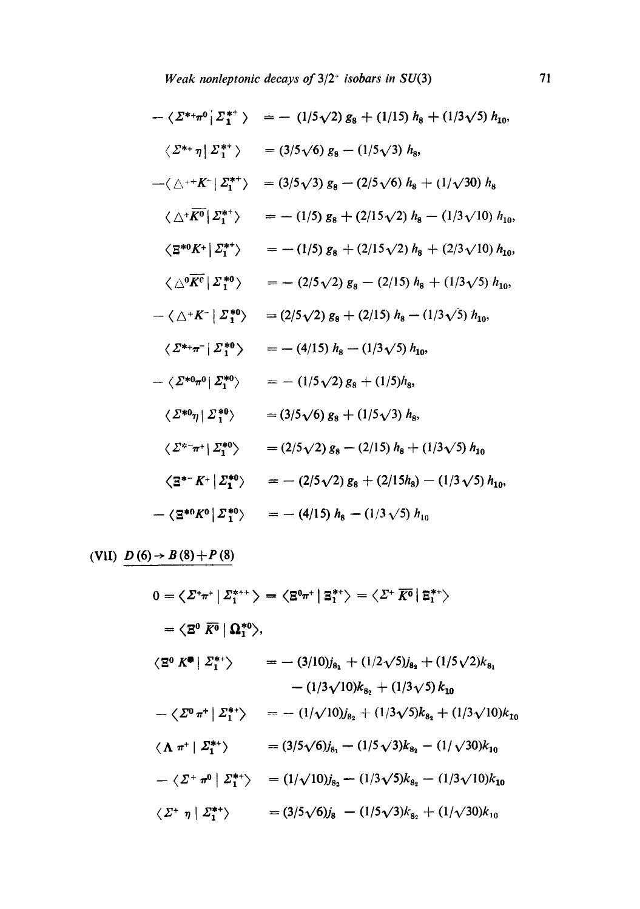*Weak nonleptonic decays of*  $3/2$ <sup>+</sup> *isobars in SU(3)* 71

$$
-\langle \Sigma^{*+}\pi^{0} | \Sigma_{1}^{*+} \rangle = - (1/5\sqrt{2}) g_{8} + (1/15) h_{8} + (1/3\sqrt{5}) h_{10},
$$
  
\n
$$
\langle \Sigma^{*+}\eta | \Sigma_{1}^{*+} \rangle = (3/5\sqrt{6}) g_{8} - (1/5\sqrt{3}) h_{8},
$$
  
\n
$$
-\langle \triangle^{++}K^{-} | \Sigma_{1}^{*+} \rangle = (3/5\sqrt{3}) g_{8} - (2/5\sqrt{6}) h_{8} + (1/\sqrt{30}) h_{8}
$$
  
\n
$$
\langle \Delta^{*}\overline{K^{0}} | \Sigma_{1}^{*+} \rangle = - (1/5) g_{8} + (2/15\sqrt{2}) h_{8} - (1/3\sqrt{10}) h_{10},
$$
  
\n
$$
\langle \Xi^{*0}K^{+} | \Sigma_{1}^{*+} \rangle = - (1/5) g_{8} + (2/15\sqrt{2}) h_{8} + (2/3\sqrt{10}) h_{10},
$$
  
\n
$$
\langle \Delta^{0}\overline{K^{0}} | \Sigma_{1}^{*0} \rangle = - (2/5\sqrt{2}) g_{8} - (2/15) h_{8} + (1/3\sqrt{5}) h_{10},
$$
  
\n
$$
-\langle \Delta^{+}K^{-} | \Sigma_{1}^{*0} \rangle = (2/5\sqrt{2}) g_{8} + (2/15) h_{8} - (1/3\sqrt{5}) h_{10},
$$
  
\n
$$
\langle \Sigma^{*+}\pi^{-} | \Sigma_{1}^{*0} \rangle = - (4/15) h_{8} - (1/3\sqrt{5}) h_{10},
$$
  
\n
$$
-\langle \Sigma^{*0}\pi^{0} | \Sigma_{1}^{*0} \rangle = - (1/5\sqrt{2}) g_{8} + (1/5) h_{8},
$$
  
\n
$$
\langle \Sigma^{*}\pi^{+} | \Sigma_{1}^{*0} \rangle = (3/5\sqrt{6}) g_{8} + (1/5\sqrt{3}) h_{8},
$$
  
\n
$$
\langle \Sigma^{*}\pi^{+} | \Sigma_{1}^{*0} \rangle = (2/5\sqrt{2}) g_{8} - (2/15) h_{8} + (1/3\sqrt{
$$

 $(V1I) \quad D(6) \rightarrow B(8) + P(8)$ 

$$
0 = \langle \mathcal{Z}^+\pi^+ | \mathcal{Z}_1^{***} \rangle = \langle \mathbb{B}^{0}\pi^+ | \mathbb{B}_1^{**} \rangle = \langle \mathcal{Z}^+ \overline{K^0} | \mathbb{B}_1^{**} \rangle
$$
  
\n
$$
= \langle \mathbb{B}^0 | \mathbb{Q}_1^{*0} \rangle,
$$
  
\n
$$
\langle \mathbb{E}^0 K^{\bullet} | \mathcal{Z}_1^{**} \rangle = -(3/10)j_{8_1} + (1/2\sqrt{5})j_{8_2} + (1/5\sqrt{2})k_{8_1}
$$
  
\n
$$
- (1/3\sqrt{10})k_{8_2} + (1/3\sqrt{5})k_{10}
$$
  
\n
$$
- \langle \mathcal{Z}^0 \pi^+ | \mathcal{Z}_1^{**} \rangle = -(1/\sqrt{10})j_{8_2} + (1/3\sqrt{5})k_{8_2} + (1/3\sqrt{10})k_{10}
$$
  
\n
$$
\langle \Lambda \pi^+ | \mathcal{Z}_1^{**} \rangle = (3/5\sqrt{6})j_{8_1} - (1/5\sqrt{3})k_{8_2} - (1/\sqrt{30})k_{10}
$$
  
\n
$$
- \langle \mathcal{Z}^+ \pi^0 | \mathcal{Z}_1^{**} \rangle = (1/\sqrt{10})j_{8_2} - (1/3\sqrt{5})k_{8_2} - (1/3\sqrt{10})k_{10}
$$
  
\n
$$
\langle \mathcal{Z}^+ \eta | \mathcal{Z}_1^{**} \rangle = (3/5\sqrt{6})j_8 - (1/5\sqrt{3})k_{8_2} + (1/\sqrt{30})k_{10}
$$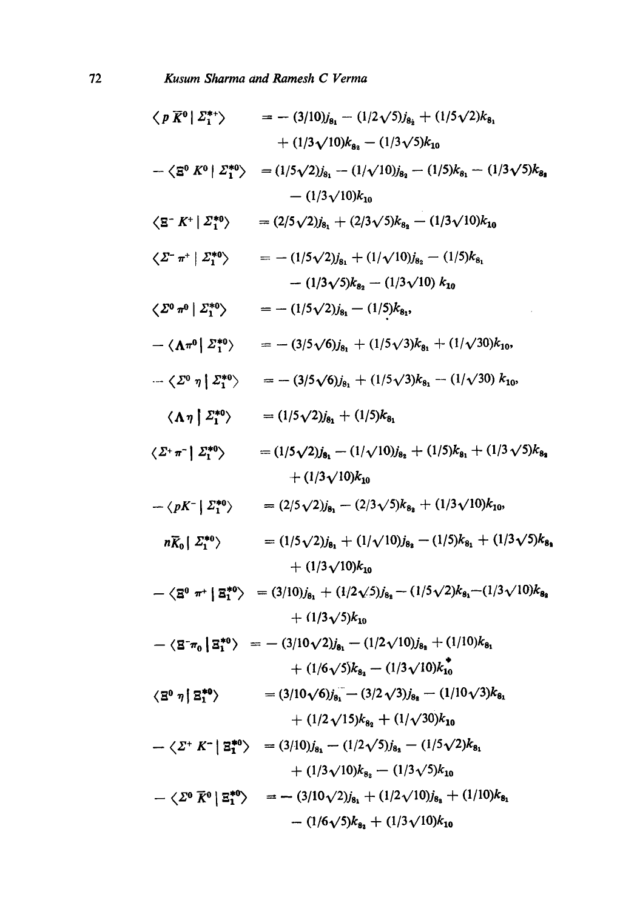$$
\langle p \overline{K}^0 | \Sigma_1^{*+} \rangle = -(3/10)j_{8_1} - (1/2\sqrt{5})j_{8_2} + (1/5\sqrt{2})k_{8_1} \n+ (1/3\sqrt{10})k_{8_1} - (1/3\sqrt{5})k_{10} \n- \langle \overline{E}^0 K^0 | \Sigma_1^{*0} \rangle = (1/5\sqrt{2})j_{8_1} - (1/\sqrt{10})j_{8_1} - (1/5)k_{8_1} - (1/3\sqrt{5})k_{8_4} \n- (1/3\sqrt{10})k_{10} \n\langle \overline{E}^T K^+ | \Sigma_1^{*0} \rangle = (2/5\sqrt{2})j_{8_1} + (2/3\sqrt{5})k_{8_4} - (1/3\sqrt{10})k_{10} \n\langle \Sigma^- \pi^+ | \Sigma_1^{*0} \rangle = -(1/5\sqrt{2})j_{8_1} + (1/\sqrt{10})j_{8_2} - (1/5)k_{8_1} \n- (1/3\sqrt{5})k_{8_2} - (1/3\sqrt{10}) k_{10} \n\langle \Sigma^0 \pi^0 | \Sigma_1^{*0} \rangle = -(1/5\sqrt{2})j_{8_1} + (1/\sqrt{10})j_{8_2} - (1/5)k_{8_1} \n- \langle \Lambda \pi^0 | \Sigma_1^{*0} \rangle = -(3/5\sqrt{6})j_{8_1} + (1/5\sqrt{3})k_{8_1} + (1/\sqrt{30})k_{10}, \n\langle \Lambda \eta | \Sigma_1^{*0} \rangle = -(3/5\sqrt{6})j_{8_1} + (1/5\sqrt{3})k_{8_1} - (1/\sqrt{30})k_{10}, \n\langle \Lambda \eta | \Sigma_1^{*0} \rangle = (1/5\sqrt{2})j_{8_1} + (1/5)\sqrt{3}k_{8_1} - (1/\sqrt{30})k_{10}, \n\langle \Lambda \eta | \Sigma_1^{*0} \rangle = (1/5\sqrt{2})j_{8_1} + (1/5)\sqrt{8}k_{8_1} - (1/\sqrt{30})k_{10}, \n\langle \Lambda \eta | \Sigma_1^{*0} \rangle = (1/5\sqrt{2})
$$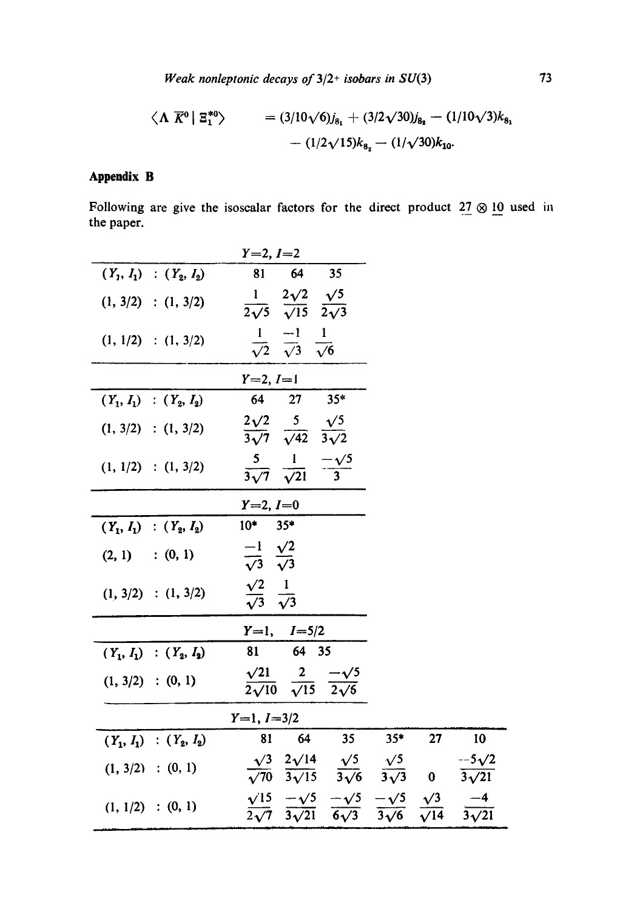*Weak nonleptonic decays of*  $3/2$ <sup>+</sup> *isobars in SU(3)* 73

$$
\langle \mathbf{\Lambda} \ \overline{K}^0 | \ \mathbf{\Xi}_1^{*0} \rangle = (3/10\sqrt{6})j_{8_1} + (3/2\sqrt{30})j_{8_2} - (1/10\sqrt{3})k_{8_1} - (1/2\sqrt{15})k_{8_2} - (1/\sqrt{30})k_{10}.
$$

# **Appendix B**

Following are give the isoscalar factors for the direct product  $27 \otimes 10$  used in the paper.

| $Y=2, I=2$                                                                                                                                            |                                                                                                                                                                                                                                                                                                                                                                                                                                               |    |                                                                                                                    |
|-------------------------------------------------------------------------------------------------------------------------------------------------------|-----------------------------------------------------------------------------------------------------------------------------------------------------------------------------------------------------------------------------------------------------------------------------------------------------------------------------------------------------------------------------------------------------------------------------------------------|----|--------------------------------------------------------------------------------------------------------------------|
| 35<br>81<br>64                                                                                                                                        |                                                                                                                                                                                                                                                                                                                                                                                                                                               |    |                                                                                                                    |
|                                                                                                                                                       |                                                                                                                                                                                                                                                                                                                                                                                                                                               |    |                                                                                                                    |
| $\frac{1}{\sqrt{2}}$ $\frac{-1}{\sqrt{3}}$<br>$\mathbf{1}$<br>$\frac{1}{\sqrt{6}}$                                                                    |                                                                                                                                                                                                                                                                                                                                                                                                                                               |    |                                                                                                                    |
|                                                                                                                                                       |                                                                                                                                                                                                                                                                                                                                                                                                                                               |    |                                                                                                                    |
| $35*$<br>27                                                                                                                                           |                                                                                                                                                                                                                                                                                                                                                                                                                                               |    |                                                                                                                    |
|                                                                                                                                                       |                                                                                                                                                                                                                                                                                                                                                                                                                                               |    |                                                                                                                    |
| $-\frac{\sqrt{5}}{3}$                                                                                                                                 |                                                                                                                                                                                                                                                                                                                                                                                                                                               |    |                                                                                                                    |
|                                                                                                                                                       |                                                                                                                                                                                                                                                                                                                                                                                                                                               |    |                                                                                                                    |
| $35*$                                                                                                                                                 |                                                                                                                                                                                                                                                                                                                                                                                                                                               |    |                                                                                                                    |
|                                                                                                                                                       |                                                                                                                                                                                                                                                                                                                                                                                                                                               |    |                                                                                                                    |
|                                                                                                                                                       |                                                                                                                                                                                                                                                                                                                                                                                                                                               |    |                                                                                                                    |
|                                                                                                                                                       |                                                                                                                                                                                                                                                                                                                                                                                                                                               |    |                                                                                                                    |
| 64 35                                                                                                                                                 |                                                                                                                                                                                                                                                                                                                                                                                                                                               |    |                                                                                                                    |
| $\frac{2}{\sqrt{15}}$<br>$\frac{-\sqrt{5}}{2\sqrt{6}}$                                                                                                |                                                                                                                                                                                                                                                                                                                                                                                                                                               |    |                                                                                                                    |
|                                                                                                                                                       |                                                                                                                                                                                                                                                                                                                                                                                                                                               |    |                                                                                                                    |
| 35<br>64<br>81                                                                                                                                        | $35*$                                                                                                                                                                                                                                                                                                                                                                                                                                         | 27 | 10                                                                                                                 |
|                                                                                                                                                       |                                                                                                                                                                                                                                                                                                                                                                                                                                               |    | $\frac{-5\sqrt{2}}{3\sqrt{21}}$                                                                                    |
| $\frac{\sqrt{15}}{2\sqrt{7}}$ $\frac{-\sqrt{5}}{3\sqrt{21}}$ $\frac{-\sqrt{5}}{6\sqrt{3}}$ $\frac{-\sqrt{5}}{3\sqrt{6}}$ $\frac{\sqrt{3}}{\sqrt{14}}$ |                                                                                                                                                                                                                                                                                                                                                                                                                                               |    |                                                                                                                    |
|                                                                                                                                                       | $\frac{1}{2\sqrt{5}} \frac{2\sqrt{2}}{\sqrt{15}} \frac{\sqrt{5}}{2\sqrt{3}}$<br>$Y=2, I=1$<br>64<br>$\frac{2\sqrt{2}}{3\sqrt{7}}$ $\frac{5}{\sqrt{42}}$ $\frac{\sqrt{5}}{3\sqrt{2}}$<br>$rac{5}{3\sqrt{7}}$ $rac{1}{\sqrt{21}}$<br>$Y=2, I=0$<br>$10*$<br>$\frac{-1}{\sqrt{3}} \frac{\sqrt{2}}{\sqrt{3}}$<br>$\frac{\sqrt{2}}{\sqrt{3}}$ $\frac{1}{\sqrt{3}}$<br>$Y=1, I=5/2$<br>81<br>$\sqrt{21}$<br>$\overline{2\sqrt{10}}$<br>$Y=1, I=3/2$ |    | $\frac{\sqrt{3}}{\sqrt{70}} \frac{2\sqrt{14}}{3\sqrt{15}} \frac{\sqrt{5}}{3\sqrt{6}} \frac{\sqrt{5}}{3\sqrt{3}}$ 0 |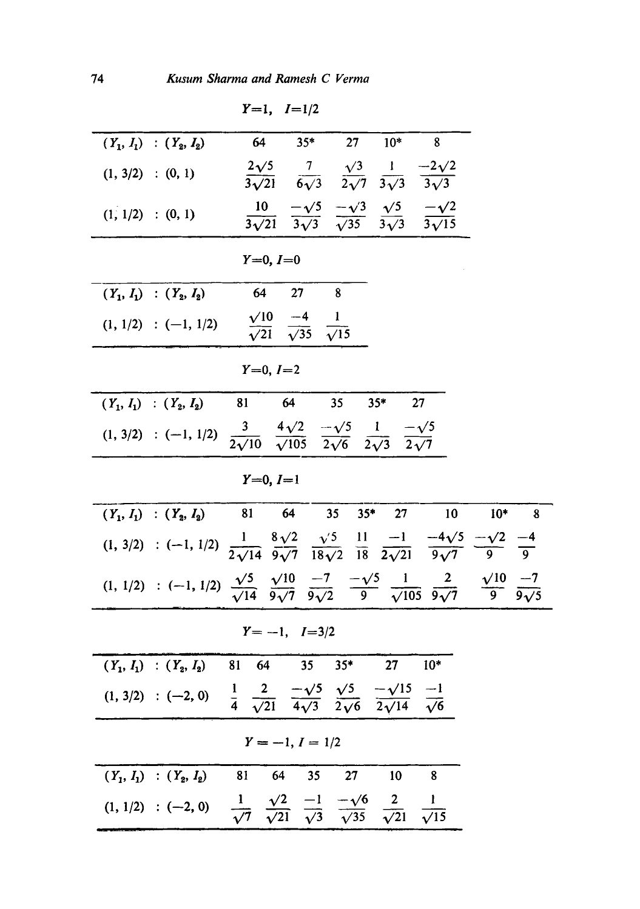| $Y=1, I=1/2$                                                                                                                                                                                                             |            |  |  |
|--------------------------------------------------------------------------------------------------------------------------------------------------------------------------------------------------------------------------|------------|--|--|
| 64<br>$35*$<br>27<br>$10*$<br>8<br>$(Y_1, I_1)$ : $(Y_2, I_2)$                                                                                                                                                           |            |  |  |
| $\frac{2\sqrt{5}}{3\sqrt{21}}$ $\frac{7}{6\sqrt{3}}$ $\frac{\sqrt{3}}{2\sqrt{7}}$ $\frac{1}{3\sqrt{3}}$ $\frac{-2\sqrt{2}}{3\sqrt{3}}$<br>$(1, 3/2)$ : $(0, 1)$                                                          |            |  |  |
| $\frac{10}{3\sqrt{21}} \frac{-\sqrt{5}}{3\sqrt{3}} \frac{-\sqrt{3}}{\sqrt{35}} \frac{\sqrt{5}}{3\sqrt{3}} \frac{-\sqrt{2}}{3\sqrt{15}}$<br>$(1, 1/2)$ : $(0, 1)$                                                         |            |  |  |
| $Y=0, I=0$                                                                                                                                                                                                               |            |  |  |
| 64<br>27<br>8<br>$(Y_1, I_1)$ : $(Y_2, I_2)$                                                                                                                                                                             |            |  |  |
| $\frac{\sqrt{10}}{\sqrt{21}}$ $\frac{-4}{\sqrt{35}}$ $\frac{1}{\sqrt{15}}$<br>$(1, 1/2)$ : $(-1, 1/2)$                                                                                                                   |            |  |  |
| $Y=0, I=2$                                                                                                                                                                                                               |            |  |  |
| $35*$<br>64<br>27<br>81<br>35<br>$(Y_1, I_1)$ : $(Y_2, I_2)$                                                                                                                                                             |            |  |  |
| $(1, 3/2)$ : (-1, 1/2) $\frac{3}{2\sqrt{10}}$ $\frac{4\sqrt{2}}{\sqrt{105}}$ $\frac{-\sqrt{5}}{2\sqrt{6}}$ $\frac{1}{2\sqrt{3}}$ $\frac{-\sqrt{5}}{2\sqrt{7}}$                                                           |            |  |  |
| $Y=0, I=1$                                                                                                                                                                                                               |            |  |  |
| 64<br>81<br>$35*$<br>35<br>27<br>10<br>$(Y_1, I_1)$ : $(Y_2, I_2)$                                                                                                                                                       | $10*$<br>8 |  |  |
| $(1, 3/2)$ : (-1, 1/2) $\frac{1}{2\sqrt{14}} \frac{8\sqrt{2}}{9\sqrt{7}} \frac{\sqrt{5}}{18\sqrt{2}} \frac{11}{18} \frac{-1}{2\sqrt{21}} \frac{-4\sqrt{5}}{9\sqrt{7}} \frac{-\sqrt{2}}{9} \frac{-4}{9}$                  |            |  |  |
| $(1, 1/2)$ : (-1, 1/2) $\frac{\sqrt{5}}{\sqrt{14}}$ $\frac{\sqrt{10}}{9\sqrt{7}}$ $\frac{-7}{9\sqrt{2}}$ $\frac{-\sqrt{5}}{9}$ $\frac{1}{\sqrt{105}}$ $\frac{2}{9\sqrt{7}}$ $\frac{\sqrt{10}}{9}$ $\frac{-7}{9\sqrt{5}}$ |            |  |  |
| $Y = -1, I = 3/2$                                                                                                                                                                                                        |            |  |  |
| $35*$<br>$10*$<br>35<br>27<br>$(Y_1, I_1)$ : $(Y_2, I_2)$ 81 64                                                                                                                                                          |            |  |  |
| $(1, 3/2)$ : (-2, 0) $\frac{1}{4}$ $\frac{2}{\sqrt{21}}$ $\frac{-\sqrt{5}}{4\sqrt{3}}$ $\frac{\sqrt{5}}{2\sqrt{6}}$ $\frac{-\sqrt{15}}{2\sqrt{14}}$ $\frac{-1}{\sqrt{6}}$                                                |            |  |  |
| $Y = -1, I = 1/2$                                                                                                                                                                                                        |            |  |  |
| 27<br>10<br>8<br>81<br>64<br>35<br>$(Y_1, I_1)$ : $(Y_2, I_2)$                                                                                                                                                           |            |  |  |
| $(1, 1/2)$ : (-2, 0) $\frac{1}{\sqrt{7}} \frac{\sqrt{2}}{\sqrt{21}} \frac{-1}{\sqrt{3}} \frac{-\sqrt{6}}{\sqrt{35}} \frac{2}{\sqrt{21}} \frac{1}{\sqrt{15}}$                                                             |            |  |  |